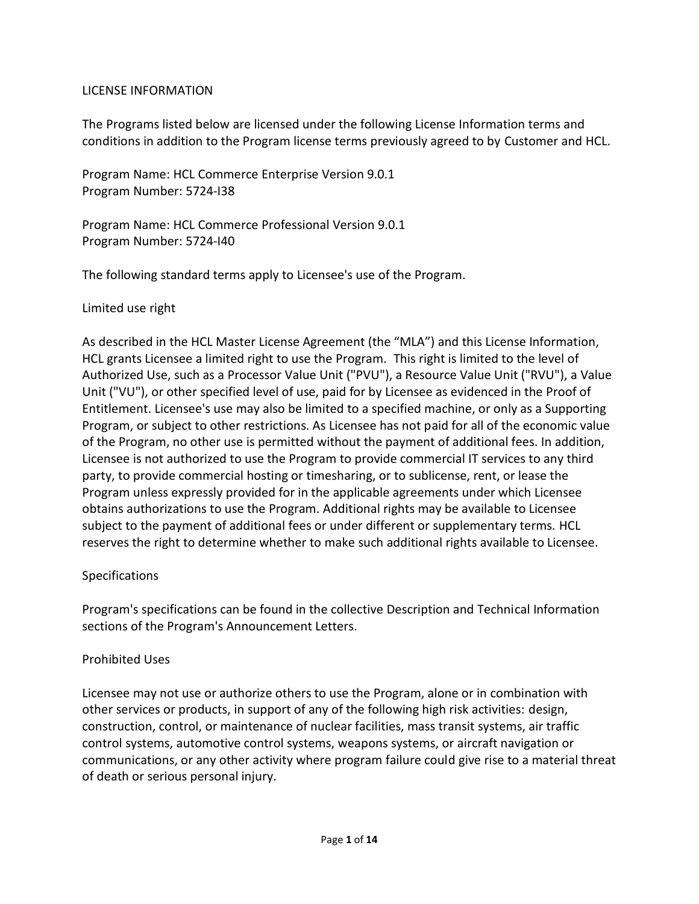### LICENSE INFORMATION

The Programs listed below are licensed under the following License Information terms and conditions in addition to the Program license terms previously agreed to by Customer and HCL.

Program Name: HCL Commerce Enterprise Version 9.0.1 Program Number: 5724-I38

Program Name: HCL Commerce Professional Version 9.0.1 Program Number: 5724-I40

The following standard terms apply to Licensee's use of the Program.

### Limited use right

As described in the HCL Master License Agreement (the "MLA") and this License Information, HCL grants Licensee a limited right to use the Program. This right is limited to the level of Authorized Use, such as a Processor Value Unit ("PVU"), a Resource Value Unit ("RVU"), a Value Unit ("VU"), or other specified level of use, paid for by Licensee as evidenced in the Proof of Entitlement. Licensee's use may also be limited to a specified machine, or only as a Supporting Program, or subject to other restrictions. As Licensee has not paid for all of the economic value of the Program, no other use is permitted without the payment of additional fees. In addition, Licensee is not authorized to use the Program to provide commercial IT services to any third party, to provide commercial hosting or timesharing, or to sublicense, rent, or lease the Program unless expressly provided for in the applicable agreements under which Licensee obtains authorizations to use the Program. Additional rights may be available to Licensee subject to the payment of additional fees or under different or supplementary terms. HCL reserves the right to determine whether to make such additional rights available to Licensee.

#### Specifications

Program's specifications can be found in the collective Description and Technical Information sections of the Program's Announcement Letters.

#### Prohibited Uses

Licensee may not use or authorize others to use the Program, alone or in combination with other services or products, in support of any of the following high risk activities: design, construction, control, or maintenance of nuclear facilities, mass transit systems, air traffic control systems, automotive control systems, weapons systems, or aircraft navigation or communications, or any other activity where program failure could give rise to a material threat of death or serious personal injury.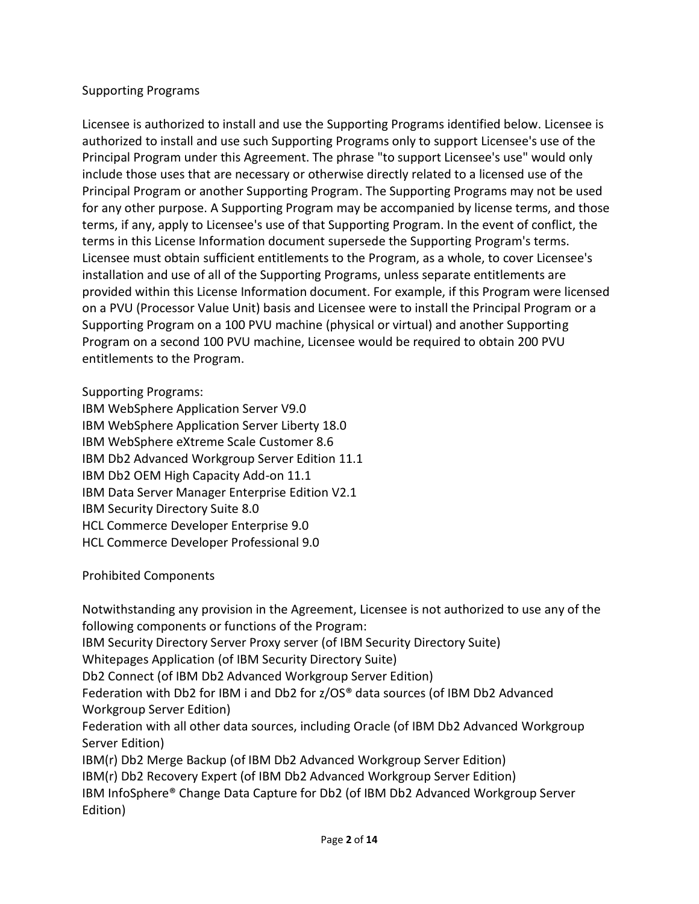## Supporting Programs

Licensee is authorized to install and use the Supporting Programs identified below. Licensee is authorized to install and use such Supporting Programs only to support Licensee's use of the Principal Program under this Agreement. The phrase "to support Licensee's use" would only include those uses that are necessary or otherwise directly related to a licensed use of the Principal Program or another Supporting Program. The Supporting Programs may not be used for any other purpose. A Supporting Program may be accompanied by license terms, and those terms, if any, apply to Licensee's use of that Supporting Program. In the event of conflict, the terms in this License Information document supersede the Supporting Program's terms. Licensee must obtain sufficient entitlements to the Program, as a whole, to cover Licensee's installation and use of all of the Supporting Programs, unless separate entitlements are provided within this License Information document. For example, if this Program were licensed on a PVU (Processor Value Unit) basis and Licensee were to install the Principal Program or a Supporting Program on a 100 PVU machine (physical or virtual) and another Supporting Program on a second 100 PVU machine, Licensee would be required to obtain 200 PVU entitlements to the Program.

Supporting Programs:

IBM WebSphere Application Server V9.0 IBM WebSphere Application Server Liberty 18.0 IBM WebSphere eXtreme Scale Customer 8.6 IBM Db2 Advanced Workgroup Server Edition 11.1 IBM Db2 OEM High Capacity Add-on 11.1 IBM Data Server Manager Enterprise Edition V2.1 IBM Security Directory Suite 8.0 HCL Commerce Developer Enterprise 9.0 HCL Commerce Developer Professional 9.0

Prohibited Components

Notwithstanding any provision in the Agreement, Licensee is not authorized to use any of the following components or functions of the Program: IBM Security Directory Server Proxy server (of IBM Security Directory Suite) Whitepages Application (of IBM Security Directory Suite) Db2 Connect (of IBM Db2 Advanced Workgroup Server Edition) Federation with Db2 for IBM i and Db2 for z/OS® data sources (of IBM Db2 Advanced Workgroup Server Edition) Federation with all other data sources, including Oracle (of IBM Db2 Advanced Workgroup Server Edition) IBM(r) Db2 Merge Backup (of IBM Db2 Advanced Workgroup Server Edition) IBM(r) Db2 Recovery Expert (of IBM Db2 Advanced Workgroup Server Edition) IBM InfoSphere® Change Data Capture for Db2 (of IBM Db2 Advanced Workgroup Server

Edition)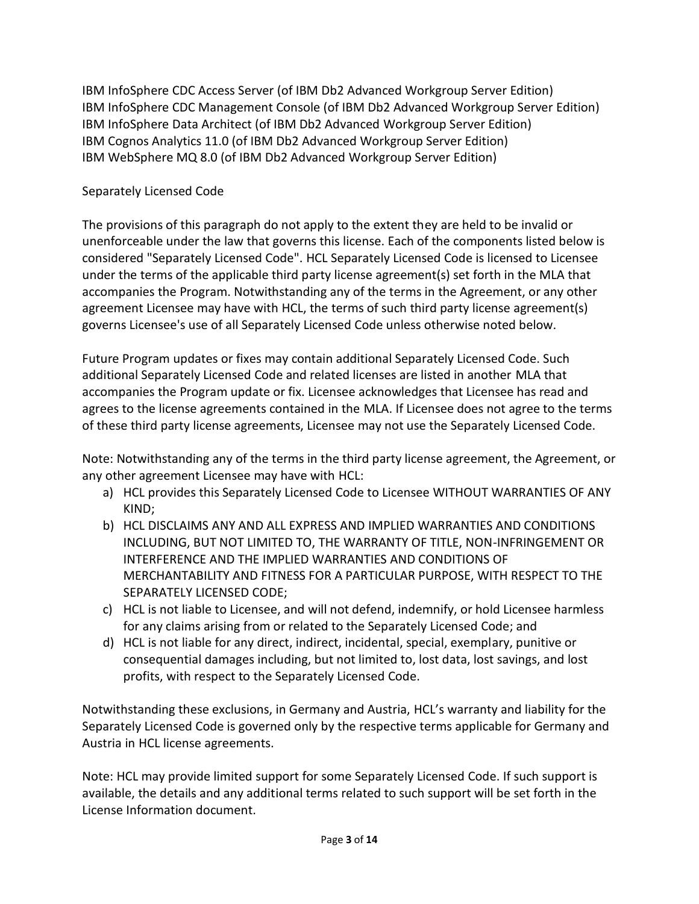IBM InfoSphere CDC Access Server (of IBM Db2 Advanced Workgroup Server Edition) IBM InfoSphere CDC Management Console (of IBM Db2 Advanced Workgroup Server Edition) IBM InfoSphere Data Architect (of IBM Db2 Advanced Workgroup Server Edition) IBM Cognos Analytics 11.0 (of IBM Db2 Advanced Workgroup Server Edition) IBM WebSphere MQ 8.0 (of IBM Db2 Advanced Workgroup Server Edition)

# Separately Licensed Code

The provisions of this paragraph do not apply to the extent they are held to be invalid or unenforceable under the law that governs this license. Each of the components listed below is considered "Separately Licensed Code". HCL Separately Licensed Code is licensed to Licensee under the terms of the applicable third party license agreement(s) set forth in the MLA that accompanies the Program. Notwithstanding any of the terms in the Agreement, or any other agreement Licensee may have with HCL, the terms of such third party license agreement(s) governs Licensee's use of all Separately Licensed Code unless otherwise noted below.

Future Program updates or fixes may contain additional Separately Licensed Code. Such additional Separately Licensed Code and related licenses are listed in another MLA that accompanies the Program update or fix. Licensee acknowledges that Licensee has read and agrees to the license agreements contained in the MLA. If Licensee does not agree to the terms of these third party license agreements, Licensee may not use the Separately Licensed Code.

Note: Notwithstanding any of the terms in the third party license agreement, the Agreement, or any other agreement Licensee may have with HCL:

- a) HCL provides this Separately Licensed Code to Licensee WITHOUT WARRANTIES OF ANY KIND;
- b) HCL DISCLAIMS ANY AND ALL EXPRESS AND IMPLIED WARRANTIES AND CONDITIONS INCLUDING, BUT NOT LIMITED TO, THE WARRANTY OF TITLE, NON-INFRINGEMENT OR INTERFERENCE AND THE IMPLIED WARRANTIES AND CONDITIONS OF MERCHANTABILITY AND FITNESS FOR A PARTICULAR PURPOSE, WITH RESPECT TO THE SEPARATELY LICENSED CODE;
- c) HCL is not liable to Licensee, and will not defend, indemnify, or hold Licensee harmless for any claims arising from or related to the Separately Licensed Code; and
- d) HCL is not liable for any direct, indirect, incidental, special, exemplary, punitive or consequential damages including, but not limited to, lost data, lost savings, and lost profits, with respect to the Separately Licensed Code.

Notwithstanding these exclusions, in Germany and Austria, HCL's warranty and liability for the Separately Licensed Code is governed only by the respective terms applicable for Germany and Austria in HCL license agreements.

Note: HCL may provide limited support for some Separately Licensed Code. If such support is available, the details and any additional terms related to such support will be set forth in the License Information document.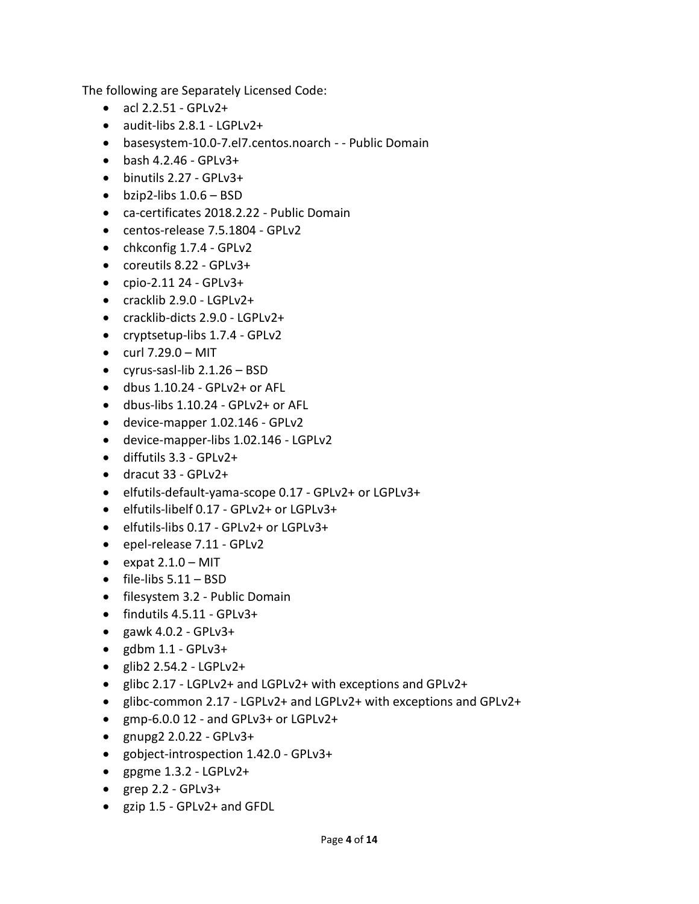The following are Separately Licensed Code:

- $acl 2.2.51 GPLv2+$
- audit-libs 2.8.1 LGPLv2+
- basesystem-10.0-7.el7.centos.noarch - Public Domain
- $\bullet$  bash 4.2.46 GPLv3+
- $\bullet$  binutils 2.27 GPLv3+
- $\bullet$  bzip2-libs  $1.0.6 BSD$
- ca-certificates 2018.2.22 Public Domain
- centos-release 7.5.1804 GPLv2
- chkconfig 1.7.4 GPLv2
- coreutils 8.22 GPLv3+
- $\bullet$  cpio-2.11 24 GPLv3+
- cracklib 2.9.0 LGPLv2+
- cracklib-dicts 2.9.0 LGPLv2+
- cryptsetup-libs 1.7.4 GPLv2
- $\bullet$  curl 7.29.0 MIT
- cyrus-sasl-lib 2.1.26 BSD
- dbus 1.10.24 GPLv2+ or AFL
- dbus-libs 1.10.24 GPLv2+ or AFL
- device-mapper 1.02.146 GPLv2
- device-mapper-libs 1.02.146 LGPLv2
- diffutils 3.3 GPLv2+
- dracut 33 GPLv2+
- elfutils-default-yama-scope 0.17 GPLv2+ or LGPLv3+
- elfutils-libelf 0.17 GPLv2+ or LGPLv3+
- elfutils-libs 0.17 GPLv2+ or LGPLv3+
- epel-release 7.11 GPLv2
- $\bullet$  expat 2.1.0 MIT
- $\bullet$  file-libs  $5.11 BSD$
- filesystem 3.2 Public Domain
- findutils 4.5.11 GPLv3+
- $\bullet$  gawk 4.0.2 GPLv3+
- $\bullet$  gdbm 1.1 GPLv3+
- $\bullet$  glib2 2.54.2 LGPLv2+
- glibc 2.17 LGPLv2+ and LGPLv2+ with exceptions and GPLv2+
- glibc-common 2.17 LGPLv2+ and LGPLv2+ with exceptions and GPLv2+
- gmp-6.0.0 12 and GPLv3+ or LGPLv2+
- $\bullet$  gnupg2 2.0.22 GPLv3+
- gobject-introspection 1.42.0 GPLv3+
- $\bullet$  gpgme 1.3.2 LGPLv2+
- $\bullet$  grep 2.2 GPLv3+
- gzip 1.5 GPLv2+ and GFDL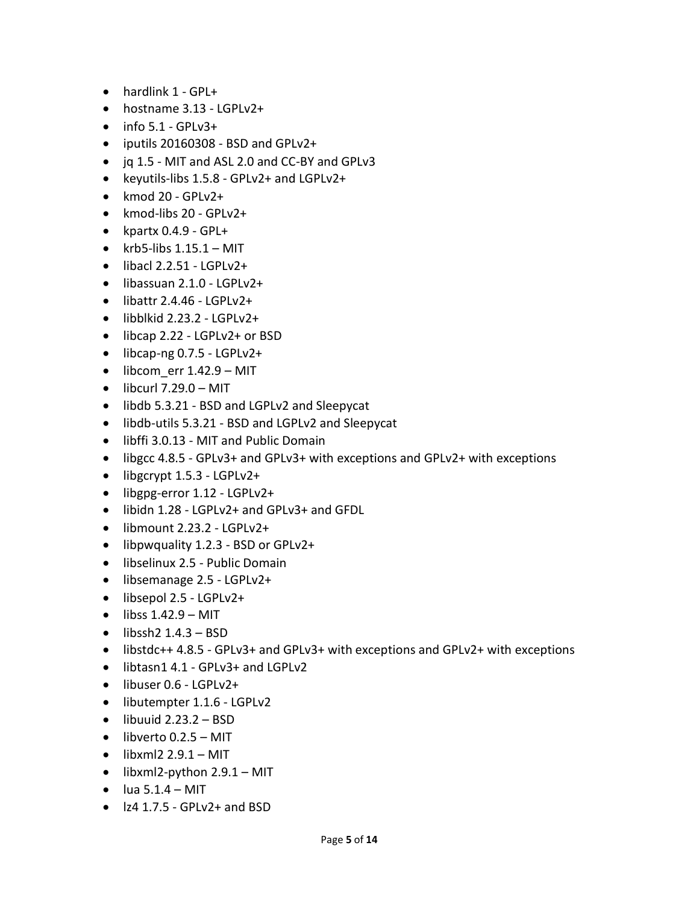- hardlink 1 GPL+
- hostname 3.13 LGPLv2+
- $\bullet$  info 5.1 GPLv3+
- iputils 20160308 BSD and GPLv2+
- jq 1.5 MIT and ASL 2.0 and CC-BY and GPLv3
- keyutils-libs 1.5.8 GPLv2+ and LGPLv2+
- $\bullet$  kmod 20 GPLv2+
- kmod-libs 20 GPLv2+
- kpartx 0.4.9 GPL+
- krb5-libs  $1.15.1 MIT$
- $\bullet$  libacl 2.2.51 LGPLv2+
- libassuan 2.1.0 LGPLv2+
- $\bullet$  libattr 2.4.46 LGPLv2+
- libblkid 2.23.2 LGPLv2+
- libcap 2.22 LGPLv2+ or BSD
- libcap-ng 0.7.5 LGPLv2+
- $\bullet$  libcom err 1.42.9 MIT
- $\bullet$  libcurl 7.29.0 MIT
- libdb 5.3.21 BSD and LGPLv2 and Sleepycat
- libdb-utils 5.3.21 BSD and LGPLv2 and Sleepycat
- libffi 3.0.13 MIT and Public Domain
- libgcc 4.8.5 GPLv3+ and GPLv3+ with exceptions and GPLv2+ with exceptions
- libgcrypt 1.5.3 LGPLv2+
- libgpg-error 1.12 LGPLv2+
- libidn 1.28 LGPLv2+ and GPLv3+ and GFDL
- libmount 2.23.2 LGPLv2+
- libpwquality 1.2.3 BSD or GPLv2+
- libselinux 2.5 Public Domain
- libsemanage 2.5 LGPLv2+
- libsepol 2.5 LGPLv2+
- $\bullet$  libss  $1.42.9 MIT$
- $\bullet$  libssh2 1.4.3 BSD
- libstdc++ 4.8.5 GPLv3+ and GPLv3+ with exceptions and GPLv2+ with exceptions
- libtasn1 4.1 GPLv3+ and LGPLv2
- libuser 0.6 LGPLv2+
- libutempter 1.1.6 LGPLv2
- $\bullet$  libuuid 2.23.2 BSD
- $\bullet$  libverto 0.2.5 MIT
- $\bullet$  libxml2 2.9.1 MIT
- $\bullet$  libxml2-python 2.9.1 MIT
- $\bullet$  lua 5.1.4 MIT
- $\bullet$   $|z4 1.7.5 GPLv2+$  and BSD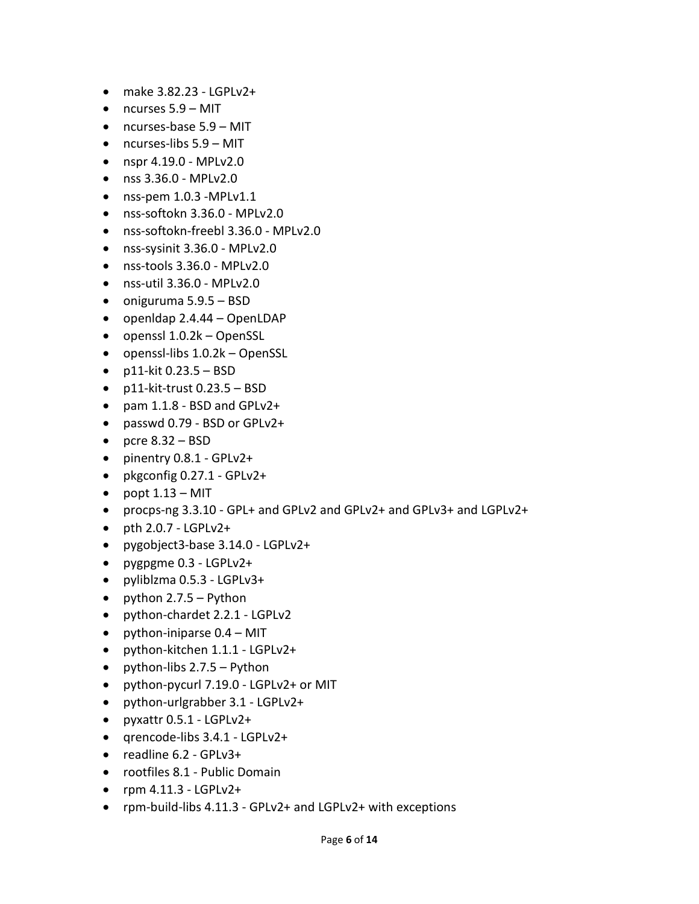- $\bullet$  make 3.82.23 LGPLv2+
- ncurses 5.9 MIT
- ncurses-base 5.9 MIT
- ncurses-libs 5.9 MIT
- nspr 4.19.0 MPLv2.0
- nss 3.36.0 MPLv2.0
- $\bullet$  nss-pem 1.0.3 -MPLv1.1
- nss-softokn 3.36.0 MPLv2.0
- nss-softokn-freebl 3.36.0 MPLv2.0
- nss-sysinit 3.36.0 MPLv2.0
- nss-tools 3.36.0 MPLv2.0
- nss-util 3.36.0 MPLv2.0
- oniguruma 5.9.5 BSD
- openldap 2.4.44 OpenLDAP
- openssl 1.0.2k OpenSSL
- openssl-libs 1.0.2k OpenSSL
- $\bullet$  p11-kit 0.23.5 BSD
- $\bullet$  p11-kit-trust 0.23.5 BSD
- $\bullet$  pam 1.1.8 BSD and GPLv2+
- passwd 0.79 BSD or GPLv2+
- pcre  $8.32 BSD$
- pinentry 0.8.1 GPLv2+
- pkgconfig 0.27.1 GPLv2+
- $\bullet$  popt  $1.13 MIT$
- procps-ng 3.3.10 GPL+ and GPLv2 and GPLv2+ and GPLv3+ and LGPLv2+
- $\bullet$  pth 2.0.7 LGPLv2+
- pygobject3-base 3.14.0 LGPLv2+
- pygpgme 0.3 LGPLv2+
- pyliblzma 0.5.3 LGPLv3+
- python  $2.7.5 -$  Python
- python-chardet 2.2.1 LGPLv2
- python-iniparse  $0.4 MIT$
- python-kitchen 1.1.1 LGPLv2+
- python-libs 2.7.5 Python
- python-pycurl 7.19.0 LGPLv2+ or MIT
- python-urlgrabber 3.1 LGPLv2+
- pyxattr 0.5.1 LGPLv2+
- qrencode-libs 3.4.1 LGPLv2+
- readline 6.2 GPLv3+
- rootfiles 8.1 Public Domain
- $\bullet$  rpm 4.11.3 LGPLv2+
- rpm-build-libs 4.11.3 GPLv2+ and LGPLv2+ with exceptions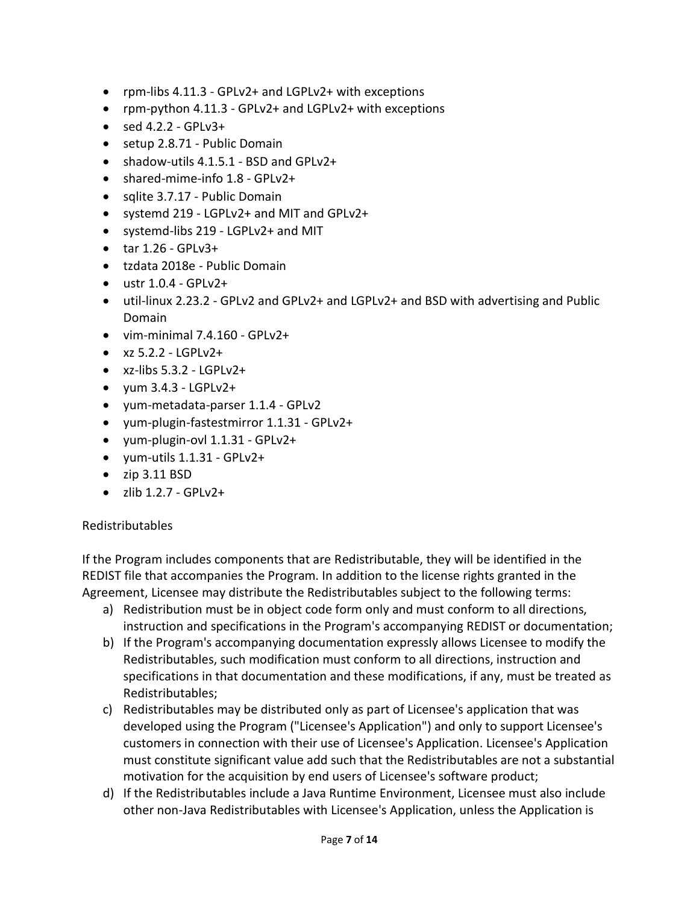- rpm-libs 4.11.3 GPLv2+ and LGPLv2+ with exceptions
- rpm-python 4.11.3 GPLv2+ and LGPLv2+ with exceptions
- $\bullet$  sed 4.2.2 GPLv3+
- setup 2.8.71 Public Domain
- shadow-utils 4.1.5.1 BSD and GPLv2+
- shared-mime-info 1.8 GPLv2+
- sqlite 3.7.17 Public Domain
- systemd 219 LGPLv2+ and MIT and GPLv2+
- systemd-libs 219 LGPLv2+ and MIT
- $\bullet$  tar 1.26 GPLv3+
- tzdata 2018e Public Domain
- $\bullet$  ustr 1.0.4 GPLv2+
- util-linux 2.23.2 GPLv2 and GPLv2+ and LGPLv2+ and BSD with advertising and Public Domain
- vim-minimal 7.4.160 GPLv2+
- $\bullet$  xz 5.2.2 LGPLv2+
- $\bullet$  xz-libs 5.3.2 LGPLv2+
- $\bullet$  yum 3.4.3 LGPLv2+
- yum-metadata-parser 1.1.4 GPLv2
- yum-plugin-fastestmirror 1.1.31 GPLv2+
- yum-plugin-ovl 1.1.31 GPLv2+
- yum-utils 1.1.31 GPLv2+
- $\bullet$  zip 3.11 BSD
- $\bullet$  zlib 1.2.7 GPLv2+

## Redistributables

If the Program includes components that are Redistributable, they will be identified in the REDIST file that accompanies the Program. In addition to the license rights granted in the Agreement, Licensee may distribute the Redistributables subject to the following terms:

- a) Redistribution must be in object code form only and must conform to all directions, instruction and specifications in the Program's accompanying REDIST or documentation;
- b) If the Program's accompanying documentation expressly allows Licensee to modify the Redistributables, such modification must conform to all directions, instruction and specifications in that documentation and these modifications, if any, must be treated as Redistributables;
- c) Redistributables may be distributed only as part of Licensee's application that was developed using the Program ("Licensee's Application") and only to support Licensee's customers in connection with their use of Licensee's Application. Licensee's Application must constitute significant value add such that the Redistributables are not a substantial motivation for the acquisition by end users of Licensee's software product;
- d) If the Redistributables include a Java Runtime Environment, Licensee must also include other non-Java Redistributables with Licensee's Application, unless the Application is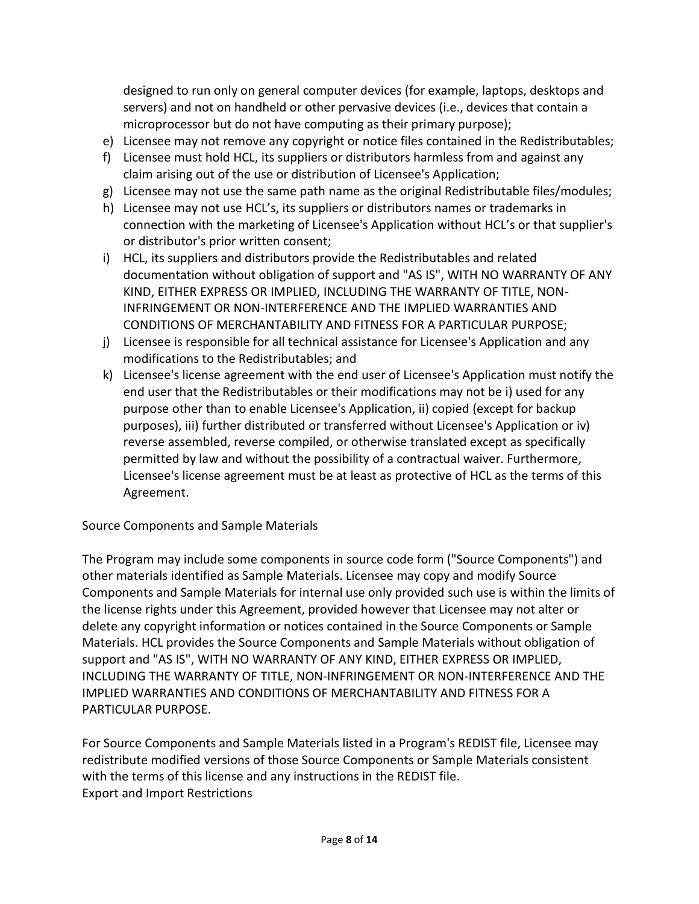designed to run only on general computer devices (for example, laptops, desktops and servers) and not on handheld or other pervasive devices (i.e., devices that contain a microprocessor but do not have computing as their primary purpose);

- e) Licensee may not remove any copyright or notice files contained in the Redistributables;
- f) Licensee must hold HCL, its suppliers or distributors harmless from and against any claim arising out of the use or distribution of Licensee's Application;
- g) Licensee may not use the same path name as the original Redistributable files/modules;
- h) Licensee may not use HCL's, its suppliers or distributors names or trademarks in connection with the marketing of Licensee's Application without HCL's or that supplier's or distributor's prior written consent;
- i) HCL, its suppliers and distributors provide the Redistributables and related documentation without obligation of support and "AS IS", WITH NO WARRANTY OF ANY KIND, EITHER EXPRESS OR IMPLIED, INCLUDING THE WARRANTY OF TITLE, NON-INFRINGEMENT OR NON-INTERFERENCE AND THE IMPLIED WARRANTIES AND CONDITIONS OF MERCHANTABILITY AND FITNESS FOR A PARTICULAR PURPOSE;
- j) Licensee is responsible for all technical assistance for Licensee's Application and any modifications to the Redistributables; and
- k) Licensee's license agreement with the end user of Licensee's Application must notify the end user that the Redistributables or their modifications may not be i) used for any purpose other than to enable Licensee's Application, ii) copied (except for backup purposes), iii) further distributed or transferred without Licensee's Application or iv) reverse assembled, reverse compiled, or otherwise translated except as specifically permitted by law and without the possibility of a contractual waiver. Furthermore, Licensee's license agreement must be at least as protective of HCL as the terms of this Agreement.

Source Components and Sample Materials

The Program may include some components in source code form ("Source Components") and other materials identified as Sample Materials. Licensee may copy and modify Source Components and Sample Materials for internal use only provided such use is within the limits of the license rights under this Agreement, provided however that Licensee may not alter or delete any copyright information or notices contained in the Source Components or Sample Materials. HCL provides the Source Components and Sample Materials without obligation of support and "AS IS", WITH NO WARRANTY OF ANY KIND, EITHER EXPRESS OR IMPLIED, INCLUDING THE WARRANTY OF TITLE, NON-INFRINGEMENT OR NON-INTERFERENCE AND THE IMPLIED WARRANTIES AND CONDITIONS OF MERCHANTABILITY AND FITNESS FOR A PARTICULAR PURPOSE.

For Source Components and Sample Materials listed in a Program's REDIST file, Licensee may redistribute modified versions of those Source Components or Sample Materials consistent with the terms of this license and any instructions in the REDIST file. Export and Import Restrictions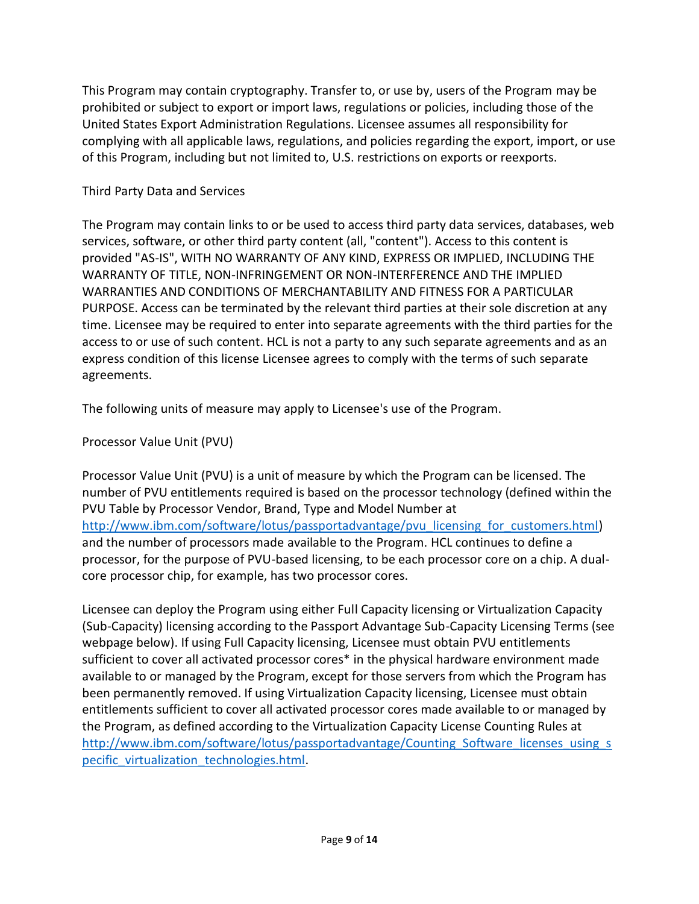This Program may contain cryptography. Transfer to, or use by, users of the Program may be prohibited or subject to export or import laws, regulations or policies, including those of the United States Export Administration Regulations. Licensee assumes all responsibility for complying with all applicable laws, regulations, and policies regarding the export, import, or use of this Program, including but not limited to, U.S. restrictions on exports or reexports.

## Third Party Data and Services

The Program may contain links to or be used to access third party data services, databases, web services, software, or other third party content (all, "content"). Access to this content is provided "AS-IS", WITH NO WARRANTY OF ANY KIND, EXPRESS OR IMPLIED, INCLUDING THE WARRANTY OF TITLE, NON-INFRINGEMENT OR NON-INTERFERENCE AND THE IMPLIED WARRANTIES AND CONDITIONS OF MERCHANTABILITY AND FITNESS FOR A PARTICULAR PURPOSE. Access can be terminated by the relevant third parties at their sole discretion at any time. Licensee may be required to enter into separate agreements with the third parties for the access to or use of such content. HCL is not a party to any such separate agreements and as an express condition of this license Licensee agrees to comply with the terms of such separate agreements.

The following units of measure may apply to Licensee's use of the Program.

Processor Value Unit (PVU)

Processor Value Unit (PVU) is a unit of measure by which the Program can be licensed. The number of PVU entitlements required is based on the processor technology (defined within the PVU Table by Processor Vendor, Brand, Type and Model Number at [http://www.ibm.com/software/lotus/passportadvantage/pvu\\_licensing\\_for\\_customers.html\)](http://www.ibm.com/software/lotus/passportadvantage/pvu_licensing_for_customers.html) and the number of processors made available to the Program. HCL continues to define a processor, for the purpose of PVU-based licensing, to be each processor core on a chip. A dualcore processor chip, for example, has two processor cores.

Licensee can deploy the Program using either Full Capacity licensing or Virtualization Capacity (Sub-Capacity) licensing according to the Passport Advantage Sub-Capacity Licensing Terms (see webpage below). If using Full Capacity licensing, Licensee must obtain PVU entitlements sufficient to cover all activated processor cores\* in the physical hardware environment made available to or managed by the Program, except for those servers from which the Program has been permanently removed. If using Virtualization Capacity licensing, Licensee must obtain entitlements sufficient to cover all activated processor cores made available to or managed by the Program, as defined according to the Virtualization Capacity License Counting Rules at [http://www.ibm.com/software/lotus/passportadvantage/Counting\\_Software\\_licenses\\_using\\_s](http://www.ibm.com/software/lotus/passportadvantage/Counting_Software_licenses_using_specific_virtualization_technologies.html) pecific virtualization technologies.html.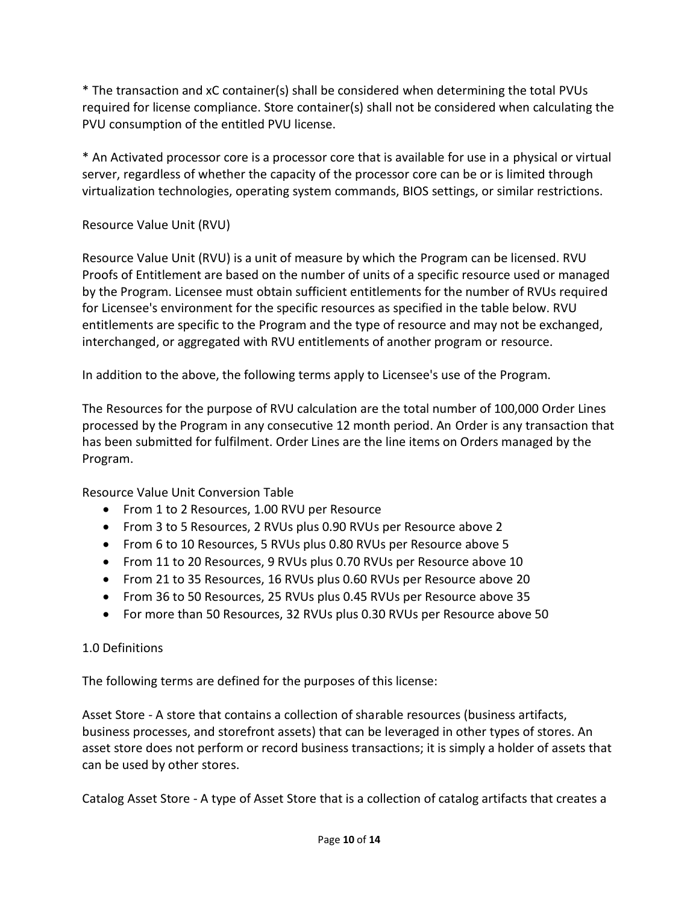\* The transaction and xC container(s) shall be considered when determining the total PVUs required for license compliance. Store container(s) shall not be considered when calculating the PVU consumption of the entitled PVU license.

\* An Activated processor core is a processor core that is available for use in a physical or virtual server, regardless of whether the capacity of the processor core can be or is limited through virtualization technologies, operating system commands, BIOS settings, or similar restrictions.

# Resource Value Unit (RVU)

Resource Value Unit (RVU) is a unit of measure by which the Program can be licensed. RVU Proofs of Entitlement are based on the number of units of a specific resource used or managed by the Program. Licensee must obtain sufficient entitlements for the number of RVUs required for Licensee's environment for the specific resources as specified in the table below. RVU entitlements are specific to the Program and the type of resource and may not be exchanged, interchanged, or aggregated with RVU entitlements of another program or resource.

In addition to the above, the following terms apply to Licensee's use of the Program.

The Resources for the purpose of RVU calculation are the total number of 100,000 Order Lines processed by the Program in any consecutive 12 month period. An Order is any transaction that has been submitted for fulfilment. Order Lines are the line items on Orders managed by the Program.

Resource Value Unit Conversion Table

- From 1 to 2 Resources, 1.00 RVU per Resource
- From 3 to 5 Resources, 2 RVUs plus 0.90 RVUs per Resource above 2
- From 6 to 10 Resources, 5 RVUs plus 0.80 RVUs per Resource above 5
- From 11 to 20 Resources, 9 RVUs plus 0.70 RVUs per Resource above 10
- From 21 to 35 Resources, 16 RVUs plus 0.60 RVUs per Resource above 20
- From 36 to 50 Resources, 25 RVUs plus 0.45 RVUs per Resource above 35
- For more than 50 Resources, 32 RVUs plus 0.30 RVUs per Resource above 50

# 1.0 Definitions

The following terms are defined for the purposes of this license:

Asset Store - A store that contains a collection of sharable resources (business artifacts, business processes, and storefront assets) that can be leveraged in other types of stores. An asset store does not perform or record business transactions; it is simply a holder of assets that can be used by other stores.

Catalog Asset Store - A type of Asset Store that is a collection of catalog artifacts that creates a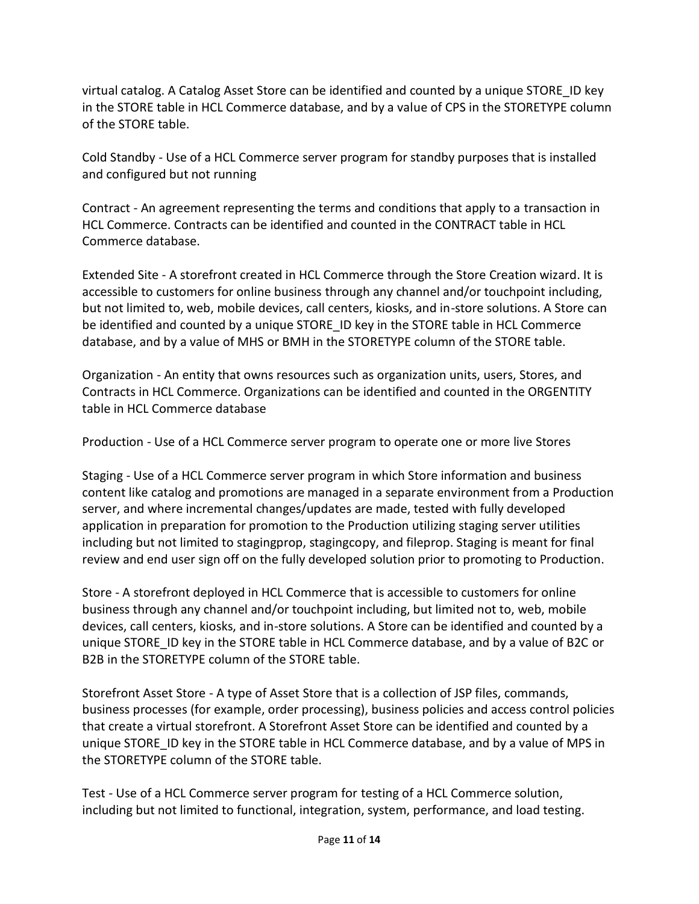virtual catalog. A Catalog Asset Store can be identified and counted by a unique STORE\_ID key in the STORE table in HCL Commerce database, and by a value of CPS in the STORETYPE column of the STORE table.

Cold Standby - Use of a HCL Commerce server program for standby purposes that is installed and configured but not running

Contract - An agreement representing the terms and conditions that apply to a transaction in HCL Commerce. Contracts can be identified and counted in the CONTRACT table in HCL Commerce database.

Extended Site - A storefront created in HCL Commerce through the Store Creation wizard. It is accessible to customers for online business through any channel and/or touchpoint including, but not limited to, web, mobile devices, call centers, kiosks, and in-store solutions. A Store can be identified and counted by a unique STORE\_ID key in the STORE table in HCL Commerce database, and by a value of MHS or BMH in the STORETYPE column of the STORE table.

Organization - An entity that owns resources such as organization units, users, Stores, and Contracts in HCL Commerce. Organizations can be identified and counted in the ORGENTITY table in HCL Commerce database

Production - Use of a HCL Commerce server program to operate one or more live Stores

Staging - Use of a HCL Commerce server program in which Store information and business content like catalog and promotions are managed in a separate environment from a Production server, and where incremental changes/updates are made, tested with fully developed application in preparation for promotion to the Production utilizing staging server utilities including but not limited to stagingprop, stagingcopy, and fileprop. Staging is meant for final review and end user sign off on the fully developed solution prior to promoting to Production.

Store - A storefront deployed in HCL Commerce that is accessible to customers for online business through any channel and/or touchpoint including, but limited not to, web, mobile devices, call centers, kiosks, and in-store solutions. A Store can be identified and counted by a unique STORE ID key in the STORE table in HCL Commerce database, and by a value of B2C or B2B in the STORETYPE column of the STORE table.

Storefront Asset Store - A type of Asset Store that is a collection of JSP files, commands, business processes (for example, order processing), business policies and access control policies that create a virtual storefront. A Storefront Asset Store can be identified and counted by a unique STORE ID key in the STORE table in HCL Commerce database, and by a value of MPS in the STORETYPE column of the STORE table.

Test - Use of a HCL Commerce server program for testing of a HCL Commerce solution, including but not limited to functional, integration, system, performance, and load testing.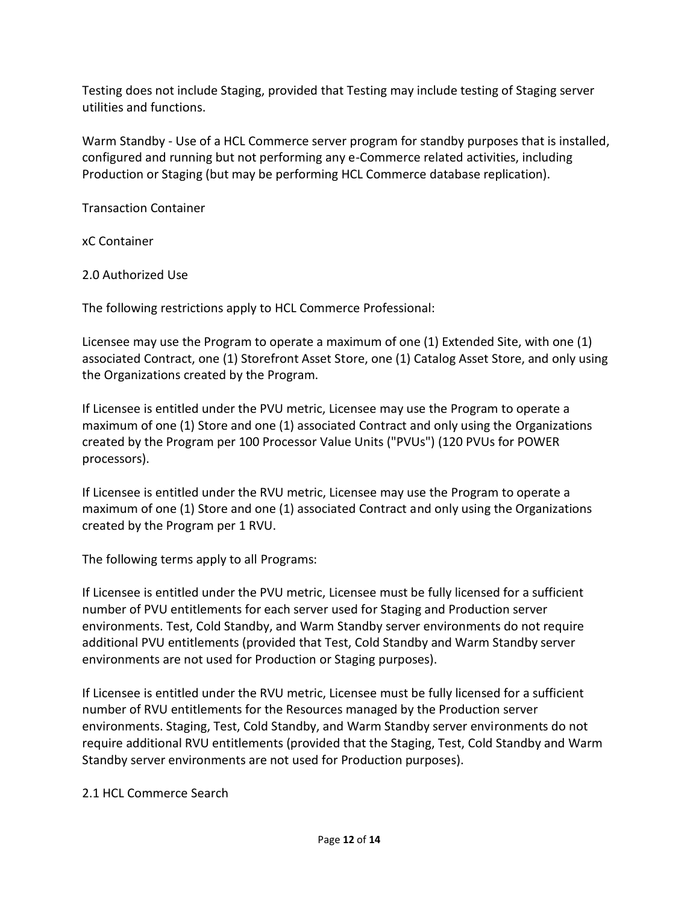Testing does not include Staging, provided that Testing may include testing of Staging server utilities and functions.

Warm Standby - Use of a HCL Commerce server program for standby purposes that is installed, configured and running but not performing any e-Commerce related activities, including Production or Staging (but may be performing HCL Commerce database replication).

Transaction Container

xC Container

2.0 Authorized Use

The following restrictions apply to HCL Commerce Professional:

Licensee may use the Program to operate a maximum of one (1) Extended Site, with one (1) associated Contract, one (1) Storefront Asset Store, one (1) Catalog Asset Store, and only using the Organizations created by the Program.

If Licensee is entitled under the PVU metric, Licensee may use the Program to operate a maximum of one (1) Store and one (1) associated Contract and only using the Organizations created by the Program per 100 Processor Value Units ("PVUs") (120 PVUs for POWER processors).

If Licensee is entitled under the RVU metric, Licensee may use the Program to operate a maximum of one (1) Store and one (1) associated Contract and only using the Organizations created by the Program per 1 RVU.

The following terms apply to all Programs:

If Licensee is entitled under the PVU metric, Licensee must be fully licensed for a sufficient number of PVU entitlements for each server used for Staging and Production server environments. Test, Cold Standby, and Warm Standby server environments do not require additional PVU entitlements (provided that Test, Cold Standby and Warm Standby server environments are not used for Production or Staging purposes).

If Licensee is entitled under the RVU metric, Licensee must be fully licensed for a sufficient number of RVU entitlements for the Resources managed by the Production server environments. Staging, Test, Cold Standby, and Warm Standby server environments do not require additional RVU entitlements (provided that the Staging, Test, Cold Standby and Warm Standby server environments are not used for Production purposes).

2.1 HCL Commerce Search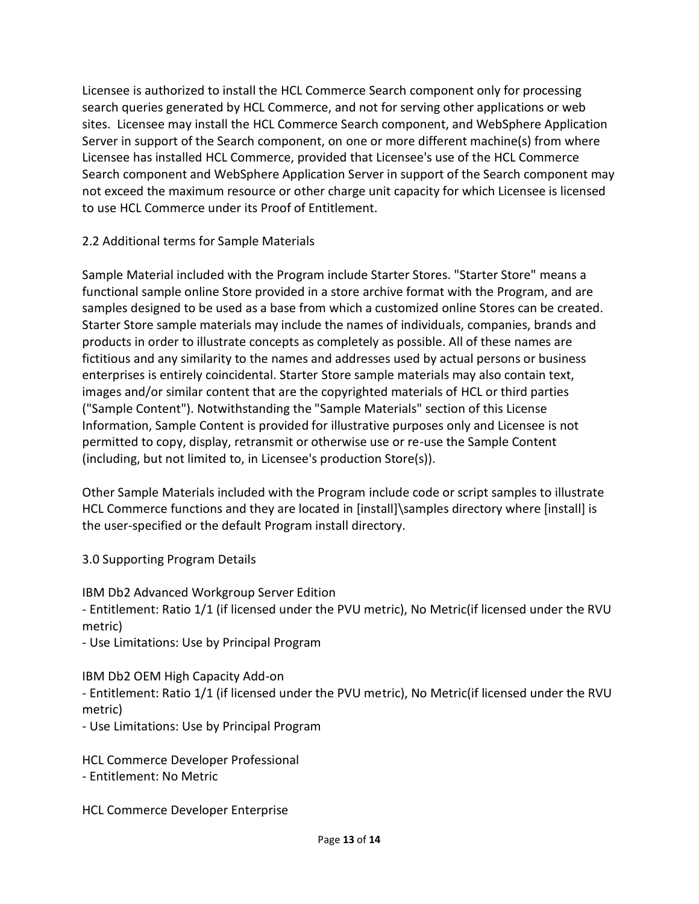Licensee is authorized to install the HCL Commerce Search component only for processing search queries generated by HCL Commerce, and not for serving other applications or web sites. Licensee may install the HCL Commerce Search component, and WebSphere Application Server in support of the Search component, on one or more different machine(s) from where Licensee has installed HCL Commerce, provided that Licensee's use of the HCL Commerce Search component and WebSphere Application Server in support of the Search component may not exceed the maximum resource or other charge unit capacity for which Licensee is licensed to use HCL Commerce under its Proof of Entitlement.

# 2.2 Additional terms for Sample Materials

Sample Material included with the Program include Starter Stores. "Starter Store" means a functional sample online Store provided in a store archive format with the Program, and are samples designed to be used as a base from which a customized online Stores can be created. Starter Store sample materials may include the names of individuals, companies, brands and products in order to illustrate concepts as completely as possible. All of these names are fictitious and any similarity to the names and addresses used by actual persons or business enterprises is entirely coincidental. Starter Store sample materials may also contain text, images and/or similar content that are the copyrighted materials of HCL or third parties ("Sample Content"). Notwithstanding the "Sample Materials" section of this License Information, Sample Content is provided for illustrative purposes only and Licensee is not permitted to copy, display, retransmit or otherwise use or re-use the Sample Content (including, but not limited to, in Licensee's production Store(s)).

Other Sample Materials included with the Program include code or script samples to illustrate HCL Commerce functions and they are located in [install]\samples directory where [install] is the user-specified or the default Program install directory.

3.0 Supporting Program Details

IBM Db2 Advanced Workgroup Server Edition

- Entitlement: Ratio 1/1 (if licensed under the PVU metric), No Metric(if licensed under the RVU metric)

- Use Limitations: Use by Principal Program

# IBM Db2 OEM High Capacity Add-on

- Entitlement: Ratio 1/1 (if licensed under the PVU metric), No Metric(if licensed under the RVU metric)

- Use Limitations: Use by Principal Program

HCL Commerce Developer Professional - Entitlement: No Metric

HCL Commerce Developer Enterprise